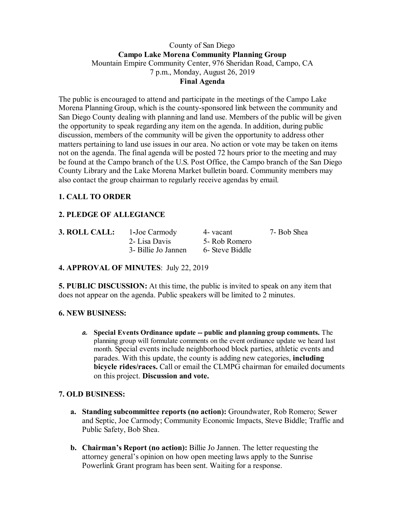## County of San Diego **Campo Lake Morena Community Planning Group** Mountain Empire Community Center, 976 Sheridan Road, Campo, CA 7 p.m., Monday, August 26, 2019 **Final Agenda**

The public is encouraged to attend and participate in the meetings of the Campo Lake Morena Planning Group, which is the county-sponsored link between the community and San Diego County dealing with planning and land use. Members of the public will be given the opportunity to speak regarding any item on the agenda. In addition, during public discussion, members of the community will be given the opportunity to address other matters pertaining to land use issues in our area. No action or vote may be taken on items not on the agenda. The final agenda will be posted 72 hours prior to the meeting and may be found at the Campo branch of the U.S. Post Office, the Campo branch of the San Diego County Library and the Lake Morena Market bulletin board. Community members may also contact the group chairman to regularly receive agendas by email.

# **1. CALL TO ORDER**

# **2. PLEDGE OF ALLEGIANCE**

| 3. ROLL CALL: | 1-Joe Carmody       | 4- vacant       | 7- Bob Shea |
|---------------|---------------------|-----------------|-------------|
|               | 2- Lisa Davis       | 5- Rob Romero   |             |
|               | 3- Billie Jo Jannen | 6- Steve Biddle |             |

# **4. APPROVAL OF MINUTES**: July 22, 2019

**5. PUBLIC DISCUSSION:** At this time, the public is invited to speak on any item that does not appear on the agenda. Public speakers will be limited to 2 minutes.

#### **6. NEW BUSINESS:**

**a. Special Events Ordinance update -- public and planning group comments.** The planning group will formulate comments on the event ordinance update we heard last month. Special events include neighborhood block parties, athletic events and parades. With this update, the county is adding new categories, **including bicycle rides/races.** Call or email the CLMPG chairman for emailed documents on this project. **Discussion and vote.**

#### **7. OLD BUSINESS:**

- **a. Standing subcommittee reports (no action):** Groundwater, Rob Romero; Sewer and Septic, Joe Carmody; Community Economic Impacts, Steve Biddle; Traffic and Public Safety, Bob Shea.
- **b. Chairman's Report (no action):** Billie Jo Jannen. The letter requesting the attorney general's opinion on how open meeting laws apply to the Sunrise Powerlink Grant program has been sent. Waiting for a response.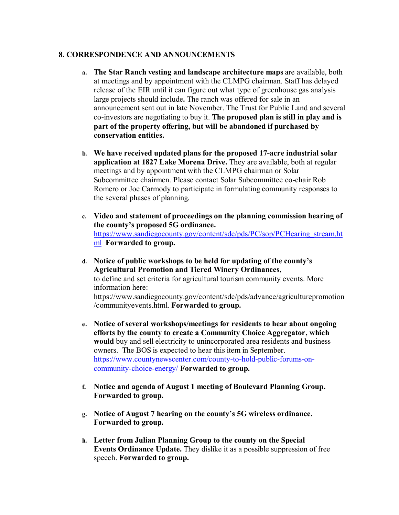## **8. CORRESPONDENCE AND ANNOUNCEMENTS**

- **a. The Star Ranch vesting and landscape architecture maps** are available, both at meetings and by appointment with the CLMPG chairman. Staff has delayed release of the EIR until it can figure out what type of greenhouse gas analysis large projects should include**.** The ranch was offered for sale in an announcement sent out in late November. The Trust for Public Land and several co-investors are negotiating to buy it. **The proposed plan is still in play and is part of the property offering, but will be abandoned if purchased by conservation entities.**
- **b. We have received updated plans for the proposed 17-acre industrial solar application at 1827 Lake Morena Drive.** They are available, both at regular meetings and by appointment with the CLMPG chairman or Solar Subcommittee chairmen. Please contact Solar Subcommittee co-chair Rob Romero or Joe Carmody to participate in formulating community responses to the several phases of planning.
- **c. Video and statement of proceedings on the planning commission hearing of the county's proposed 5G ordinance.**  https://www.sandiegocounty.gov/content/sdc/pds/PC/sop/PCHearing\_stream.ht ml **Forwarded to group.**
- **d. Notice of public workshops to be held for updating of the county's Agricultural Promotion and Tiered Winery Ordinances**, to define and set criteria for agricultural tourism community events. More information here: https://www.sandiegocounty.gov/content/sdc/pds/advance/agriculturepromotion /communityevents.html. **Forwarded to group.**
- **e. Notice of several workshops/meetings for residents to hear about ongoing efforts by the county to create a Community Choice Aggregator, which would** buy and sell electricity to unincorporated area residents and business owners. The BOS is expected to hear this item in September. https://www.countynewscenter.com/county-to-hold-public-forums-oncommunity-choice-energy/ **Forwarded to group.**
- **f. Notice and agenda of August 1 meeting of Boulevard Planning Group. Forwarded to group.**
- **g. Notice of August 7 hearing on the county's 5G wireless ordinance. Forwarded to group.**
- **h. Letter from Julian Planning Group to the county on the Special Events Ordinance Update.** They dislike it as a possible suppression of free speech. **Forwarded to group.**